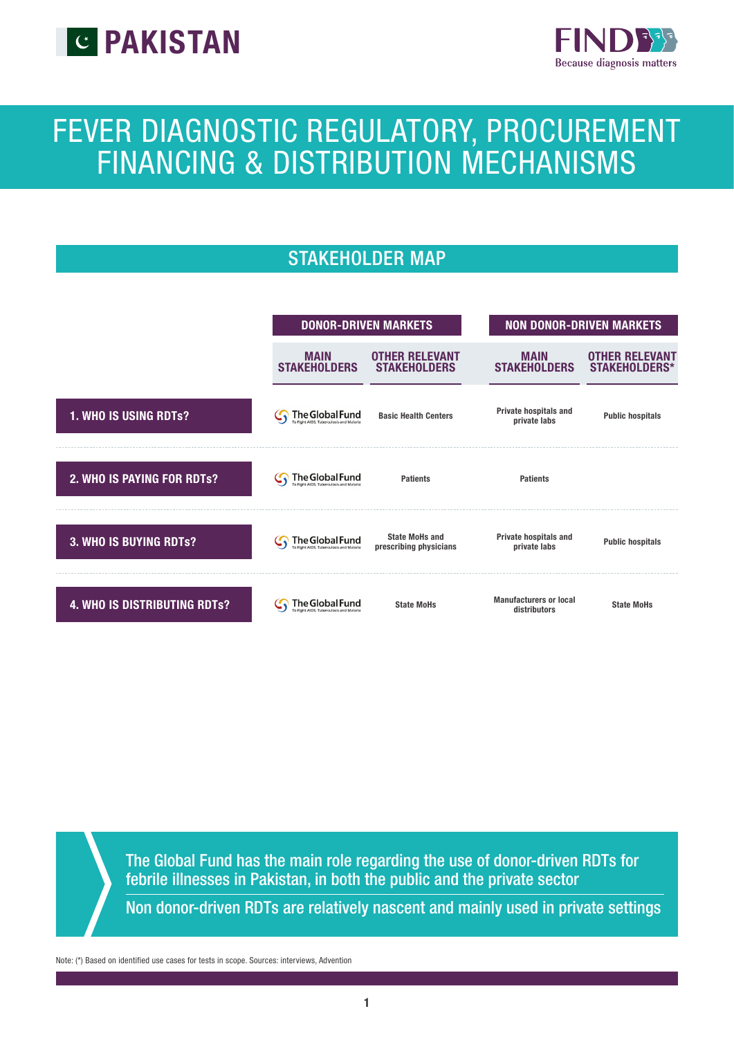



# FEVER DIAGNOSTIC REGULATORY, PROCUREMENT FINANCING & DISTRIBUTION MECHANISMS

## STAKEHOLDER MAP



The Global Fund has the main role regarding the use of donor-driven RDTs for febrile illnesses in Pakistan, in both the public and the private sector

Non donor-driven RDTs are relatively nascent and mainly used in private settings

Note: (\*) Based on identified use cases for tests in scope. Sources: interviews, Advention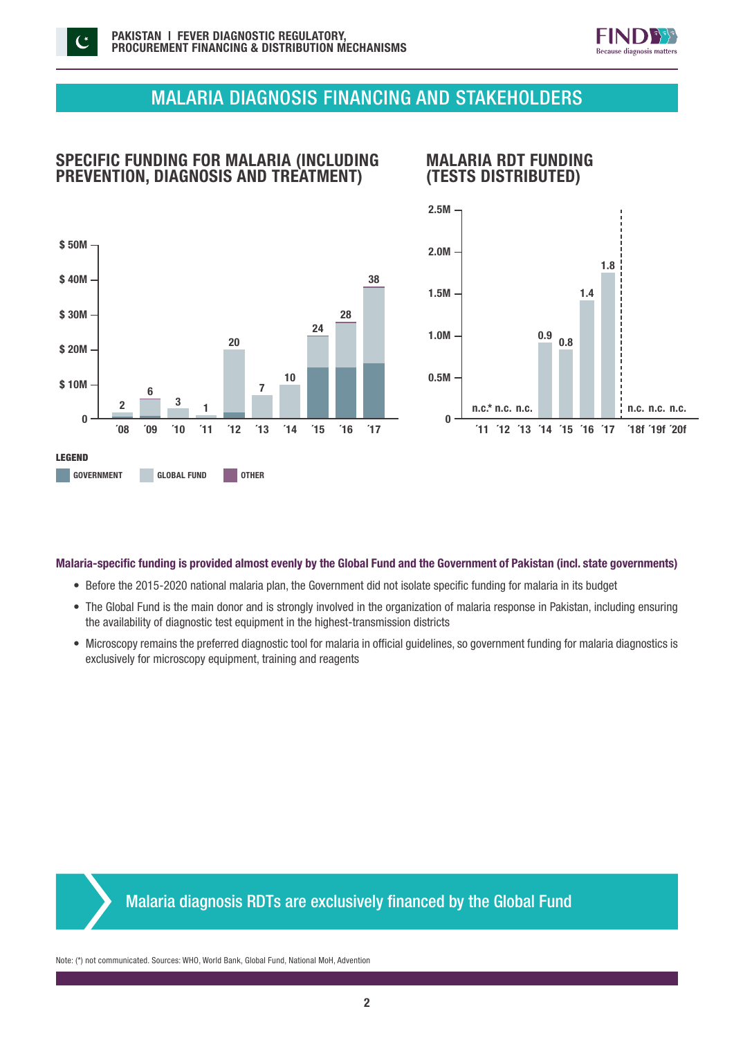



## MALARIA DIAGNOSIS FINANCING AND STAKEHOLDERS

## SPECIFIC FUNDING FOR MALARIA (INCLUDING PREVENTION, DIAGNOSIS AND TREATMENT)

## MALARIA RDT FUNDING (TESTS DISTRIBUTED)





### Malaria-specific funding is provided almost evenly by the Global Fund and the Government of Pakistan (incl. state governments)

- Before the 2015-2020 national malaria plan, the Government did not isolate specific funding for malaria in its budget
- The Global Fund is the main donor and is strongly involved in the organization of malaria response in Pakistan, including ensuring the availability of diagnostic test equipment in the highest-transmission districts
- Microscopy remains the preferred diagnostic tool for malaria in official guidelines, so government funding for malaria diagnostics is exclusively for microscopy equipment, training and reagents



Note: (\*) not communicated. Sources: WHO, World Bank, Global Fund, National MoH, Advention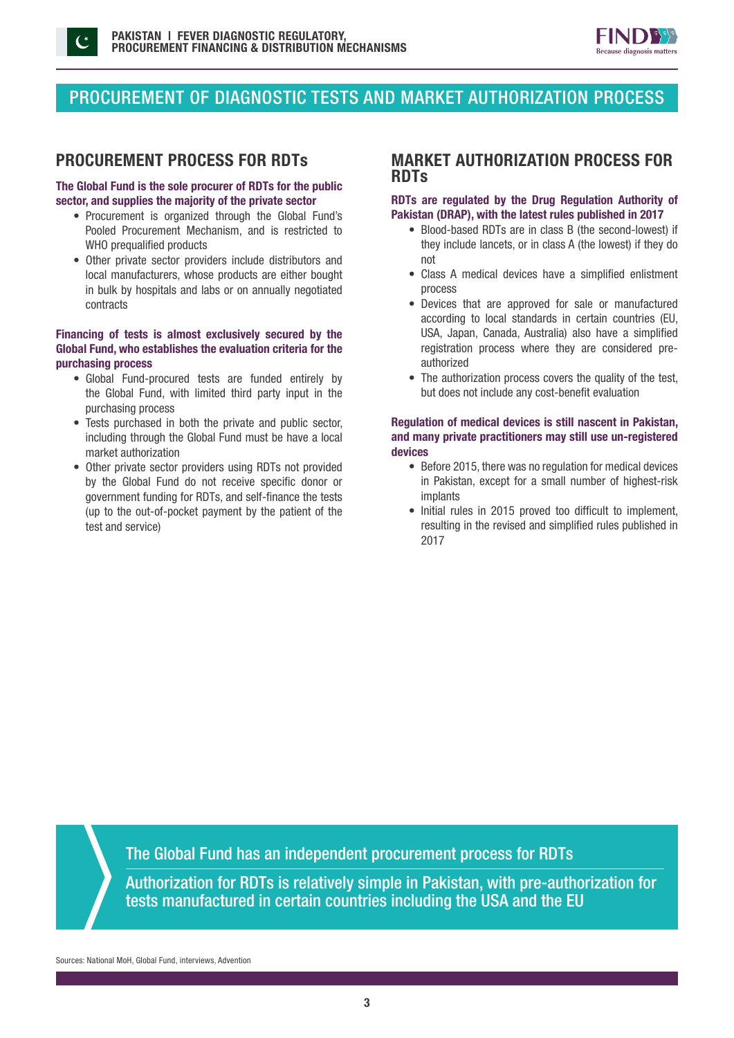



## PROCUREMENT OF DIAGNOSTIC TESTS AND MARKET AUTHORIZATION PROCESS

### The Global Fund is the sole procurer of RDTs for the public sector, and supplies the majority of the private sector

- Procurement is organized through the Global Fund's Pooled Procurement Mechanism, and is restricted to WHO prequalified products
- Other private sector providers include distributors and local manufacturers, whose products are either bought in bulk by hospitals and labs or on annually negotiated contracts

### Financing of tests is almost exclusively secured by the Global Fund, who establishes the evaluation criteria for the purchasing process

- Global Fund-procured tests are funded entirely by the Global Fund, with limited third party input in the purchasing process
- Tests purchased in both the private and public sector, including through the Global Fund must be have a local market authorization
- Other private sector providers using RDTs not provided by the Global Fund do not receive specific donor or government funding for RDTs, and self-finance the tests (up to the out-of-pocket payment by the patient of the test and service)

## PROCUREMENT PROCESS FOR RDTs MARKET AUTHORIZATION PROCESS FOR RDTs

### RDTs are regulated by the Drug Regulation Authority of Pakistan (DRAP), with the latest rules published in 2017

- Blood-based RDTs are in class B (the second-lowest) if they include lancets, or in class A (the lowest) if they do not
- Class A medical devices have a simplified enlistment process
- Devices that are approved for sale or manufactured according to local standards in certain countries (EU, USA, Japan, Canada, Australia) also have a simplified registration process where they are considered preauthorized
- The authorization process covers the quality of the test. but does not include any cost-benefit evaluation

### Regulation of medical devices is still nascent in Pakistan, and many private practitioners may still use un-registered devices

- Before 2015, there was no regulation for medical devices in Pakistan, except for a small number of highest-risk implants
- Initial rules in 2015 proved too difficult to implement, resulting in the revised and simplified rules published in 2017

The Global Fund has an independent procurement process for RDTs

Authorization for RDTs is relatively simple in Pakistan, with pre-authorization for tests manufactured in certain countries including the USA and the EU